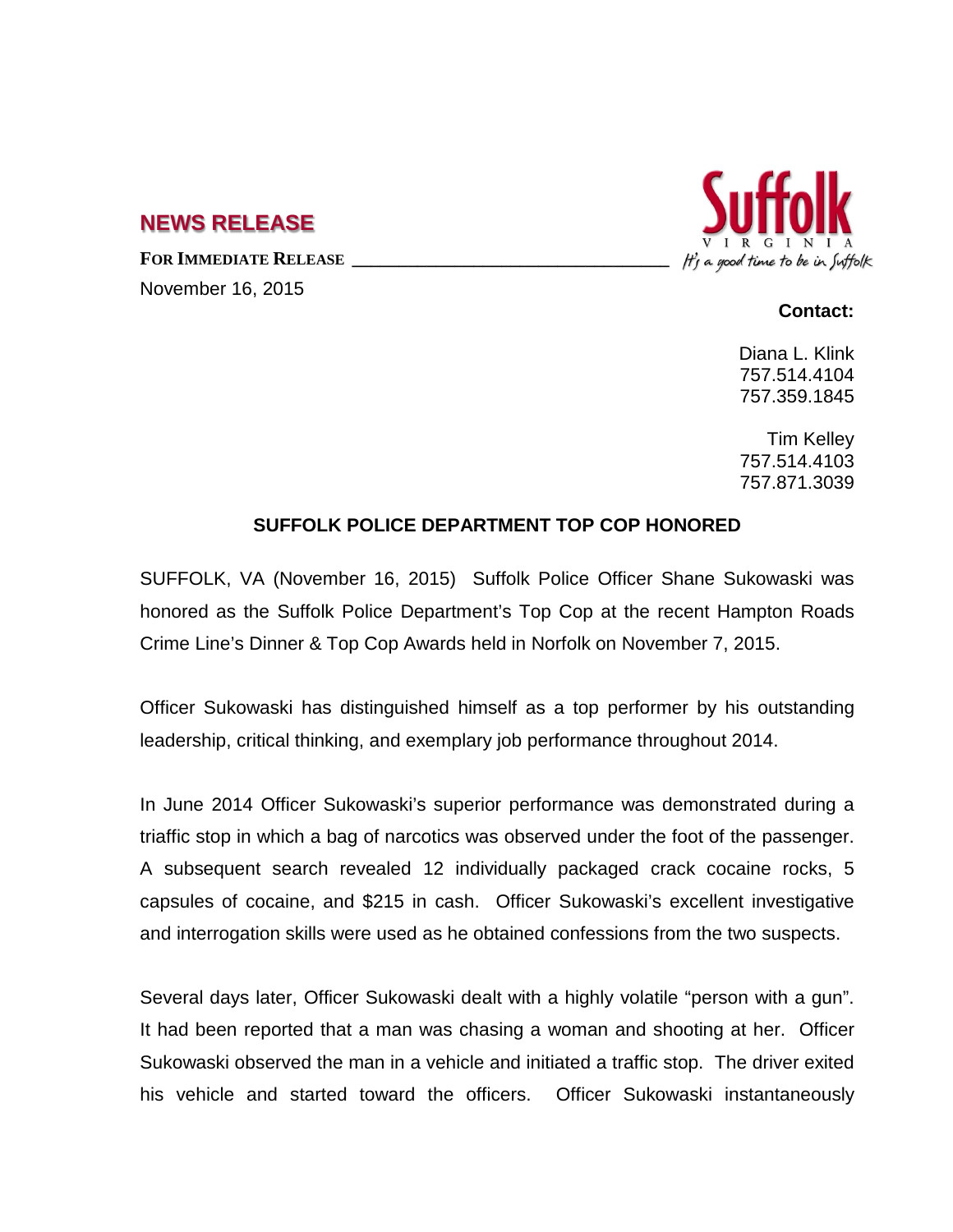## **NEWS RELEASE**

FOR **IMMEDIATE RELEASE** 

November 16, 2015

## It's a good time to be in Suffolk

## **Contact:**

Diana L. Klink 757.514.4104 757.359.1845

Tim Kelley 757.514.4103 757.871.3039

## **SUFFOLK POLICE DEPARTMENT TOP COP HONORED**

SUFFOLK, VA (November 16, 2015) Suffolk Police Officer Shane Sukowaski was honored as the Suffolk Police Department's Top Cop at the recent Hampton Roads Crime Line's Dinner & Top Cop Awards held in Norfolk on November 7, 2015.

Officer Sukowaski has distinguished himself as a top performer by his outstanding leadership, critical thinking, and exemplary job performance throughout 2014.

In June 2014 Officer Sukowaski's superior performance was demonstrated during a triaffic stop in which a bag of narcotics was observed under the foot of the passenger. A subsequent search revealed 12 individually packaged crack cocaine rocks, 5 capsules of cocaine, and \$215 in cash. Officer Sukowaski's excellent investigative and interrogation skills were used as he obtained confessions from the two suspects.

Several days later, Officer Sukowaski dealt with a highly volatile "person with a gun". It had been reported that a man was chasing a woman and shooting at her. Officer Sukowaski observed the man in a vehicle and initiated a traffic stop. The driver exited his vehicle and started toward the officers. Officer Sukowaski instantaneously